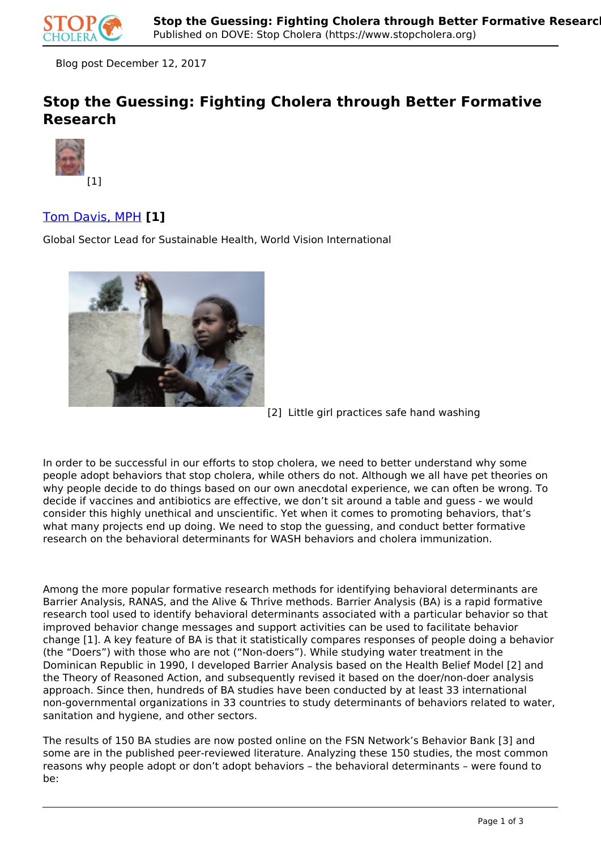

Blog post December 12, 2017

# **Stop the Guessing: Fighting Cholera through Better Formative Research**



## Tom Davis, MPH **[1]**

Global Sector Lead for Sustainable Health, World Vision International



<sup>[2]</sup> Little girl practices safe hand washing

In order to be successful in our efforts to stop cholera, we need to better understand why some people adopt behaviors that stop cholera, while others do not. Although we all have pet theories on why people decide to do things based on our own anecdotal experience, we can often be wrong. To decide if vaccines and antibiotics are effective, we don't sit around a table and guess - we would consider this highly unethical and unscientific. Yet when it comes to promoting behaviors, that's what many projects end up doing. We need to stop the guessing, and conduct better formative research on the behavioral determinants for WASH behaviors and cholera immunization.

Among the more popular formative research methods for identifying behavioral determinants are Barrier Analysis, RANAS, and the Alive & Thrive methods. Barrier Analysis (BA) is a rapid formative research tool used to identify behavioral determinants associated with a particular behavior so that improved behavior change messages and support activities can be used to facilitate behavior change [1]. A key feature of BA is that it statistically compares responses of people doing a behavior (the "Doers") with those who are not ("Non-doers"). While studying water treatment in the Dominican Republic in 1990, I developed Barrier Analysis based on the Health Belief Model [2] and the Theory of Reasoned Action, and subsequently revised it based on the doer/non-doer analysis approach. Since then, hundreds of BA studies have been conducted by at least 33 international non-governmental organizations in 33 countries to study determinants of behaviors related to water, sanitation and hygiene, and other sectors.

The results of 150 BA studies are now posted online on the FSN Network's Behavior Bank [3] and some are in the published peer-reviewed literature. Analyzing these 150 studies, the most common reasons why people adopt or don't adopt behaviors – the behavioral determinants – were found to be: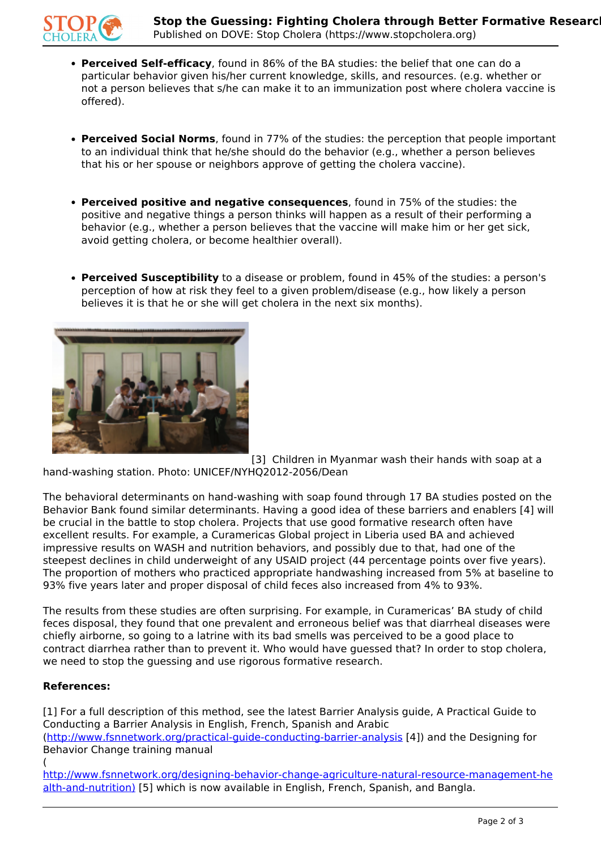

- **Perceived Self-efficacy**, found in 86% of the BA studies: the belief that one can do a particular behavior given his/her current knowledge, skills, and resources. (e.g. whether or not a person believes that s/he can make it to an immunization post where cholera vaccine is offered).
- **Perceived Social Norms**, found in 77% of the studies: the perception that people important to an individual think that he/she should do the behavior (e.g., whether a person believes that his or her spouse or neighbors approve of getting the cholera vaccine).
- **Perceived positive and negative consequences**, found in 75% of the studies: the positive and negative things a person thinks will happen as a result of their performing a behavior (e.g., whether a person believes that the vaccine will make him or her get sick, avoid getting cholera, or become healthier overall).
- **Perceived Susceptibility** to a disease or problem, found in 45% of the studies: a person's perception of how at risk they feel to a given problem/disease (e.g., how likely a person believes it is that he or she will get cholera in the next six months).



[3] Children in Myanmar wash their hands with soap at a hand-washing station. Photo: UNICEF/NYHQ2012-2056/Dean

The behavioral determinants on hand-washing with soap found through 17 BA studies posted on the Behavior Bank found similar determinants. Having a good idea of these barriers and enablers [4] will be crucial in the battle to stop cholera. Projects that use good formative research often have excellent results. For example, a Curamericas Global project in Liberia used BA and achieved impressive results on WASH and nutrition behaviors, and possibly due to that, had one of the steepest declines in child underweight of any USAID project (44 percentage points over five years). The proportion of mothers who practiced appropriate handwashing increased from 5% at baseline to 93% five years later and proper disposal of child feces also increased from 4% to 93%.

The results from these studies are often surprising. For example, in Curamericas' BA study of child feces disposal, they found that one prevalent and erroneous belief was that diarrheal diseases were chiefly airborne, so going to a latrine with its bad smells was perceived to be a good place to contract diarrhea rather than to prevent it. Who would have guessed that? In order to stop cholera, we need to stop the guessing and use rigorous formative research.

## **References:**

[1] For a full description of this method, see the latest Barrier Analysis guide, A Practical Guide to Conducting a Barrier Analysis in English, French, Spanish and Arabic (http://www.fsnnetwork.org/practical-guide-conducting-barrier-analysis [4]) and the Designing for Behavior Change training manual (

http://www.fsnnetwork.org/designing-behavior-change-agriculture-natural-resource-management-he alth-and-nutrition) [5] which is now available in English, French, Spanish, and Bangla.